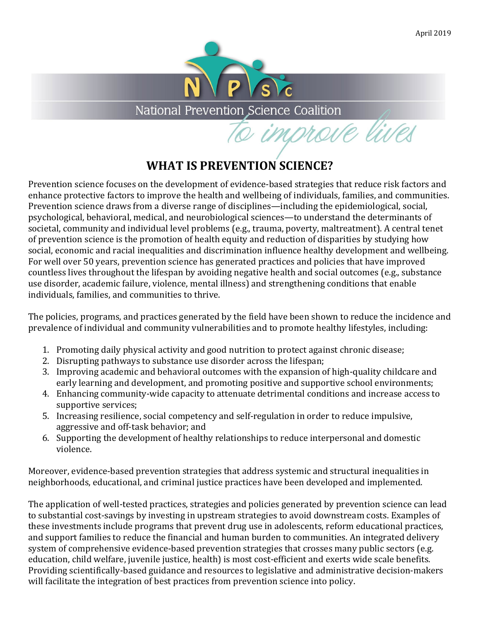

National Prevention Science Coalition

to improve lives

## **WHAT IS PREVENTION SCIENCE?**

Prevention science focuses on the development of evidence-based strategies that reduce risk factors and enhance protective factors to improve the health and wellbeing of individuals, families, and communities. Prevention science draws from a diverse range of disciplines—including the epidemiological, social, psychological, behavioral, medical, and neurobiological sciences—to understand the determinants of societal, community and individual level problems (e.g., trauma, poverty, maltreatment). A central tenet of prevention science is the promotion of health equity and reduction of disparities by studying how social, economic and racial inequalities and discrimination influence healthy development and wellbeing. For well over 50 years, prevention science has generated practices and policies that have improved countless lives throughout the lifespan by avoiding negative health and social outcomes (e.g., substance use disorder, academic failure, violence, mental illness) and strengthening conditions that enable individuals, families, and communities to thrive.

The policies, programs, and practices generated by the field have been shown to reduce the incidence and prevalence of individual and community vulnerabilities and to promote healthy lifestyles, including:

- 1. Promoting daily physical activity and good nutrition to protect against chronic disease;
- 2. Disrupting pathways to substance use disorder across the lifespan;
- 3. Improving academic and behavioral outcomes with the expansion of high-quality childcare and early learning and development, and promoting positive and supportive school environments;
- 4. Enhancing community-wide capacity to attenuate detrimental conditions and increase access to supportive services;
- 5. Increasing resilience, social competency and self-regulation in order to reduce impulsive, aggressive and off-task behavior; and
- 6. Supporting the development of healthy relationships to reduce interpersonal and domestic violence.

Moreover, evidence-based prevention strategies that address systemic and structural inequalities in neighborhoods, educational, and criminal justice practices have been developed and implemented.

The application of well-tested practices, strategies and policies generated by prevention science can lead to substantial cost-savings by investing in upstream strategies to avoid downstream costs. Examples of these investments include programs that prevent drug use in adolescents, reform educational practices, and support families to reduce the financial and human burden to communities. An integrated delivery system of comprehensive evidence-based prevention strategies that crosses many public sectors (e.g. education, child welfare, juvenile justice, health) is most cost-efficient and exerts wide scale benefits. Providing scientifically-based guidance and resources to legislative and administrative decision-makers will facilitate the integration of best practices from prevention science into policy.